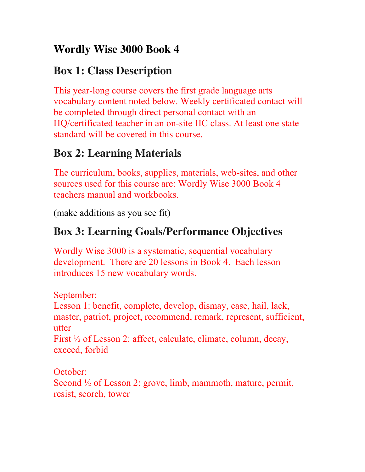### **Wordly Wise 3000 Book 4**

### **Box 1: Class Description**

This year-long course covers the first grade language arts vocabulary content noted below. Weekly certificated contact will be completed through direct personal contact with an HQ/certificated teacher in an on-site HC class. At least one state standard will be covered in this course.

## **Box 2: Learning Materials**

The curriculum, books, supplies, materials, web-sites, and other sources used for this course are: Wordly Wise 3000 Book 4 teachers manual and workbooks.

(make additions as you see fit)

# **Box 3: Learning Goals/Performance Objectives**

Wordly Wise 3000 is a systematic, sequential vocabulary development. There are 20 lessons in Book 4. Each lesson introduces 15 new vocabulary words.

September:

Lesson 1: benefit, complete, develop, dismay, ease, hail, lack, master, patriot, project, recommend, remark, represent, sufficient, utter

First ½ of Lesson 2: affect, calculate, climate, column, decay, exceed, forbid

October:

Second  $\frac{1}{2}$  of Lesson 2: grove, limb, mammoth, mature, permit, resist, scorch, tower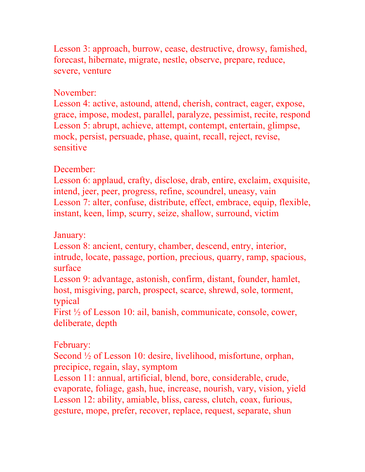Lesson 3: approach, burrow, cease, destructive, drowsy, famished, forecast, hibernate, migrate, nestle, observe, prepare, reduce, severe, venture

#### November:

Lesson 4: active, astound, attend, cherish, contract, eager, expose, grace, impose, modest, parallel, paralyze, pessimist, recite, respond Lesson 5: abrupt, achieve, attempt, contempt, entertain, glimpse, mock, persist, persuade, phase, quaint, recall, reject, revise, sensitive

#### December:

Lesson 6: applaud, crafty, disclose, drab, entire, exclaim, exquisite, intend, jeer, peer, progress, refine, scoundrel, uneasy, vain Lesson 7: alter, confuse, distribute, effect, embrace, equip, flexible, instant, keen, limp, scurry, seize, shallow, surround, victim

January:

Lesson 8: ancient, century, chamber, descend, entry, interior, intrude, locate, passage, portion, precious, quarry, ramp, spacious, surface

Lesson 9: advantage, astonish, confirm, distant, founder, hamlet, host, misgiving, parch, prospect, scarce, shrewd, sole, torment, typical

First ½ of Lesson 10: ail, banish, communicate, console, cower, deliberate, depth

#### February:

Second <sup>1/2</sup> of Lesson 10: desire, livelihood, misfortune, orphan, precipice, regain, slay, symptom

Lesson 11: annual, artificial, blend, bore, considerable, crude, evaporate, foliage, gash, hue, increase, nourish, vary, vision, yield Lesson 12: ability, amiable, bliss, caress, clutch, coax, furious, gesture, mope, prefer, recover, replace, request, separate, shun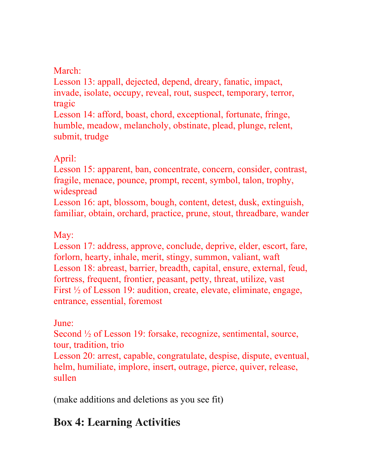### March:

Lesson 13: appall, dejected, depend, dreary, fanatic, impact, invade, isolate, occupy, reveal, rout, suspect, temporary, terror, tragic

Lesson 14: afford, boast, chord, exceptional, fortunate, fringe, humble, meadow, melancholy, obstinate, plead, plunge, relent, submit, trudge

### April:

Lesson 15: apparent, ban, concentrate, concern, consider, contrast, fragile, menace, pounce, prompt, recent, symbol, talon, trophy, widespread

Lesson 16: apt, blossom, bough, content, detest, dusk, extinguish, familiar, obtain, orchard, practice, prune, stout, threadbare, wander

### May:

Lesson 17: address, approve, conclude, deprive, elder, escort, fare, forlorn, hearty, inhale, merit, stingy, summon, valiant, waft Lesson 18: abreast, barrier, breadth, capital, ensure, external, feud, fortress, frequent, frontier, peasant, petty, threat, utilize, vast First ½ of Lesson 19: audition, create, elevate, eliminate, engage, entrance, essential, foremost

### June:

Second ½ of Lesson 19: forsake, recognize, sentimental, source, tour, tradition, trio Lesson 20: arrest, capable, congratulate, despise, dispute, eventual, helm, humiliate, implore, insert, outrage, pierce, quiver, release, sullen

(make additions and deletions as you see fit)

# **Box 4: Learning Activities**